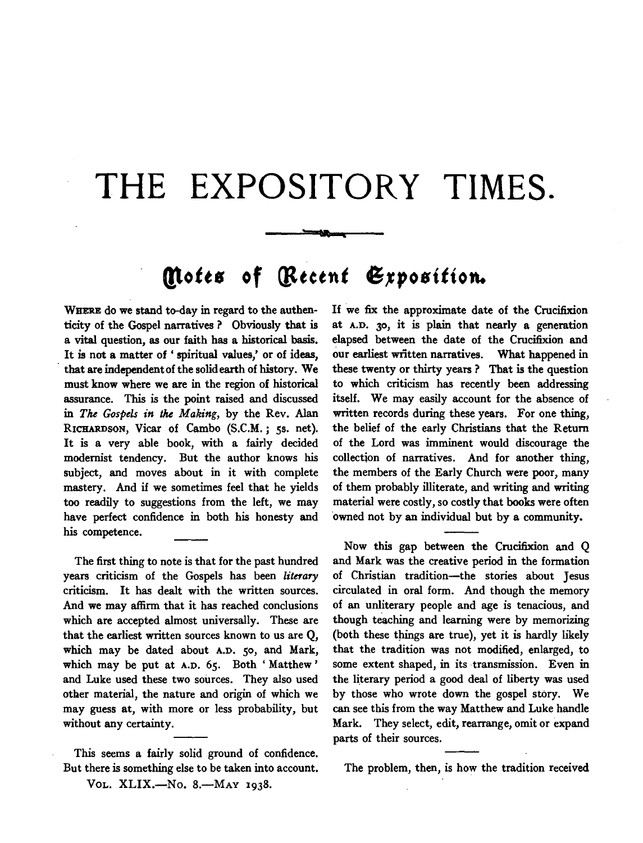## **THE EXPOSITORY TIMES.**

## **Motes of** *(Recent Exposition.*

WHERE do we stand to-day in regard to the authenticity of the Gospel narratives ? Obviously that is a vital question, as our faith has a historical basis. It is not a matter of ' spiritual values,' or of ideas, that are independent of the solid earth of history. We must know where we are in the region of historical assurance. This is the point raised and discussed in *The Gospels in* the *Making,* by the Rev. Alan RICHARDSON, Vicar of Cambo (S.C.M.; ss. net). It is a very able book, with a fairly decided modernist tendency. But the author knows his subject, and moves about in it with complete mastery. And if we sometimes feel that he yields too readily to suggestions from the left, we may have perfect confidence in both his honesty and his competence.

The first thing to note is that for the past hundred years criticism of the Gospels has been *literary*  criticism. It has dealt with the written sources. And we may affirm that it has reached conclusions which are accepted almost universally. These are that the earliest written sources known to us are Q, which may be dated about A.D. 50, and Mark, which may be put at A.D. 65. Both 'Matthew' and Luke used these two sources. They also used other material, the nature and origin of which we may guess at, with more or less probability, but without any certainty.

This seems a fairly solid ground of confidence. But there is something else to be taken into account.

VOL. XLIX.-No. 8.-MAY 1938.

If we fix the approximate date of the Crucifixion at A.D. 30, it is plain that nearly a generation elapsed between the date of the Crucifixion and our earliest written narratives. What happened in these twenty or thirty years ? That is the question to which criticism has recently been addressing itself. We may easily account for the absence of written records during these years. For one thing, the belief of the early Christians that the Return of the Lord was imminent would discourage the collection of narratives. And for another thing, the members of the Early Church were poor, many of them probably illiterate, and writing and writing material were costly, so costly that books were often ·owned not by an individual but by a community.

Now this gap between the Crucifixion and Q and Mark was the creative period in the formation of Christian tradition-the stories about Jesus circulated in oral form. And though the memory of an unliterary people and age is tenacious, and though teaching and learning were by memorizing (both these things are true), yet it is hardly likely that the tradition was not modified, enlarged, to some extent shaped, in its transmission. Even in the literary period a good deal of liberty was used by those who wrote down the gospel story. We can see this from the way Matthew and Luke handle Mark. They select, edit, rearrange, omit or expand parts of their sources.

The problem, then, is how the tradition received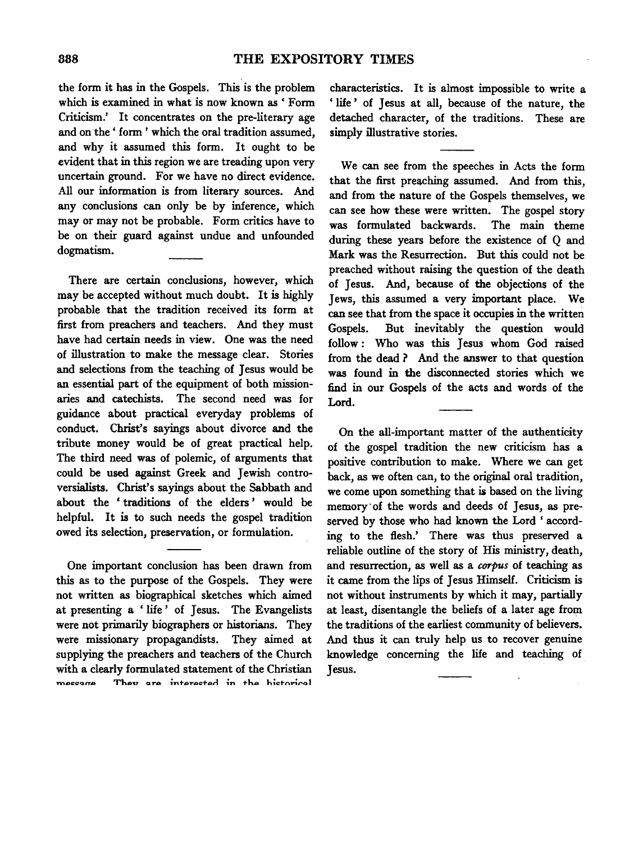the form it has in the Gospels. This is the problem which is examined in what is now known as ' Form Criticism.' It concentrates on the pre-literary age and on the' form' which the oral tradition assumed, and why it assumed this form. It ought to be evident that in this region we are treading upon very uncertain ground. For we have no direct evidence. All our information is from literary sources. And any conclusions can only be by inference, which may or may not be probable. Form critics have to be on their guard against undue and unfounded dogmatism.

There are certain conclusions, however, which may be accepted without much doubt. It is highly probable that the tradition received its form at first from preachers and teachers. And they must have had certain needs in view. One was the need of illustration to make the message clear. Stories and selections from the teaching of Jesus would be an essential part of the equipment of both missionaries and catechists. The second need was for guidance about practical everyday problems of conduct. Christ's sayings about divorce and the tribute money would be of great practical help. The third need was of polemic, of arguments that could be used against Greek and Jewish controversialists. Christ's sayings about the Sabbath and about the ' traditions of the elders ' would be helpful. It is to such needs the gospel tradition owed its selection, preservation, or formulation.

One important conclusion has been drawn from this as to the purpose of the Gospels. They were not written as biographical sketches which aimed at presenting a ' life ' of Jesus. The Evangelists were not primarily biographers or historians. They were missionary propagandists. They aimed at supplying the preachers and teachers of the Church with a clearly formulated statement of the Christian They are interested in the historical messere

characteristics. It is almost impossible to write a ' life ' of Jesus at all, because of the nature, the detached character, of the traditions. These are simply illustrative stories.

We can see from the speeches in Acts the form that the first preaching assumed. And from this, and from the nature of the Gospels themselves, we can see how these were written. The gospel story was formulated backwards. The main theme during these years before the existence of Q and Mark was the Resurrection. But this could not be preached without raising the question of the death of Jesus. And, because of the objections of the Jews, this assumed a very important place. We can see that from the space it occupies in the written Gospels. But inevitably the question would follow : Who was this Jesus whom God raised from the dead ? And the answer to that question was found in the disconnected stories which we find in our Gospels of the acts and words of the Lord.

On the all-important matter of the authenticity of the gospel tradition the new criticism has a positive contribution to make. Where we can get back, as we often can, to the original oral tradition, we come upon something that is based on the living memory· of the words and deeds of Jesus, as preserved by those who had known the Lord ' according to the flesh.' There was thus preserved a reliable outline of the story of His ministry, death, and resurrection, as well as a *corpus* of teaching as it came from the lips of Jesus Himself. Criticism is not without instruments by which it may, partially at least, disentangle the beliefs of a later age from the traditions of the earliest community of believers. And thus it can truly help us to recover genuine knowledge concerning the life and teaching of Jesus.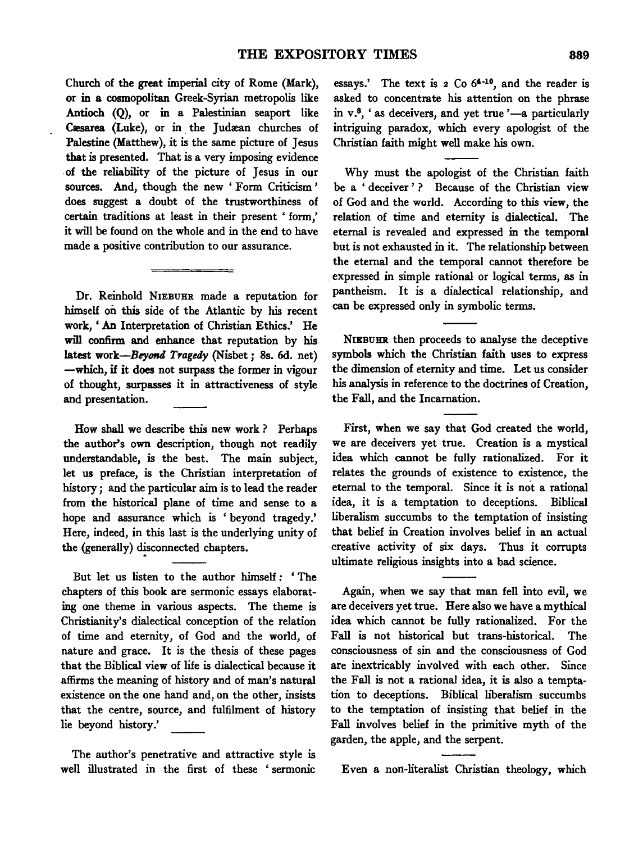Church of the great imperial city of Rome (Mark), or in a cosmopolitan Greek-Syrian metropolis like Antioch (Q), or in a Palestinian seaport like Cæsarea (Luke), or in the Judæan churches of Palestine (Matthew), it is the same picture of Jesus that is presented. That is a very imposing evidence . of the reliability of the picture of Jesus in our sources. And, though the new 'Form Criticism' does suggest a doubt of the trustworthiness of certain traditions at least in their present ' form,' it will be found on the whole and in the end to have made a positive contribution to our assurance.

Dr. Reinhold NIEBUHR made a reputation for himself on this side of the Atlantic by his recent work, ' An Interpretation of Christian Ethics.' He will confirm and enhance that reputation by his latest work-Beyond Tragedy (Nisbet; 8s. 6d. net) -which, if it does not surpass the former in vigour of thought, surpasses it in attractiveness of style and presentation.

How shall we describe this new work ? Perhaps the author's own description, though not readily understandable, is the best. The main subject, let us preface, is the Christian interpretation of history ; and the particular aim is to lead the reader from the historical plane of time and sense to a hope and assurance which is 'beyond tragedy.' Here, indeed, in this last is the underlying unity of the (generally) disconnected chapters.

But let us listen to the author himself *:* ' The chapters of this book are sermonic essays elaborating one theme in various aspects. The theme is Christianity's dialectical conception of the relation of time and eternity, of God and the world, of nature and grace. It is the thesis of these pages that the Biblical view of life is dialectical because it affirms the meaning of history and of man's natural existence on the one hand and, on the other, insists that the centre, source, and fulfilment of history lie beyond history.'

The author's penetrative and attractive style is well illustrated in the first of these ' sermonic

essays.' The text is  $2 \text{ Co } 64^{-10}$ , and the reader is asked to concentrate his attention on the phrase in  $v^8$ , ' as deceivers, and yet true '-a particularly intriguing paradox, which every apologist of the Christian faith might well make his own.

Why must the apologist of the Christian faith be a ' deceiver ' ? Because of the Christian view of God and the world. According to this view, the relation of time and eternity is dialectical. The eternal is revealed and expressed in the temporal but is not exhausted in it. The relationship between the eternal and the temporal cannot therefore be expressed in simple rational or logical terms, as in pantheism. It is a dialectical relationship, and can be expressed only in symbolic terms.

NIEBUHR then proceeds to analyse the deceptive symbols which the Christian faith uses to express the dimension of eternity and time. Let us consider his analysis in reference to the doctrines of Creation, the Fall, and the Incarnation.

First, when we say that God created the world, we are deceivers yet true. Creation is a mystical idea which cannot be fully rationalized. For it relates the grounds of existence to existence, the eternal to the temporal. Since it is not a rational idea, it is a temptation to deceptions. Biblical liberalism succumbs to the temptation of insisting that belief in Creation involves belief in an actual creative activity of six days. Thus it corrupts ultimate religious insights into a bad science.

Again, when we say that man fell into evil, we are deceivers yet true. Here also we have a mythical idea which cannot be fully rationalized. For the Fall is not historical but trans-historical. The consciousness of sin and the consciousness of God are inextricably involved with each other. Since the Fall is not a rational idea, it is also a temptation to deceptions. Biblical liberalism succumbs to the temptation of insisting that belief in the Fall involves belief in the primitive myth of the garden, the apple, and the serpent.

Even a non-literalist Christian theology, which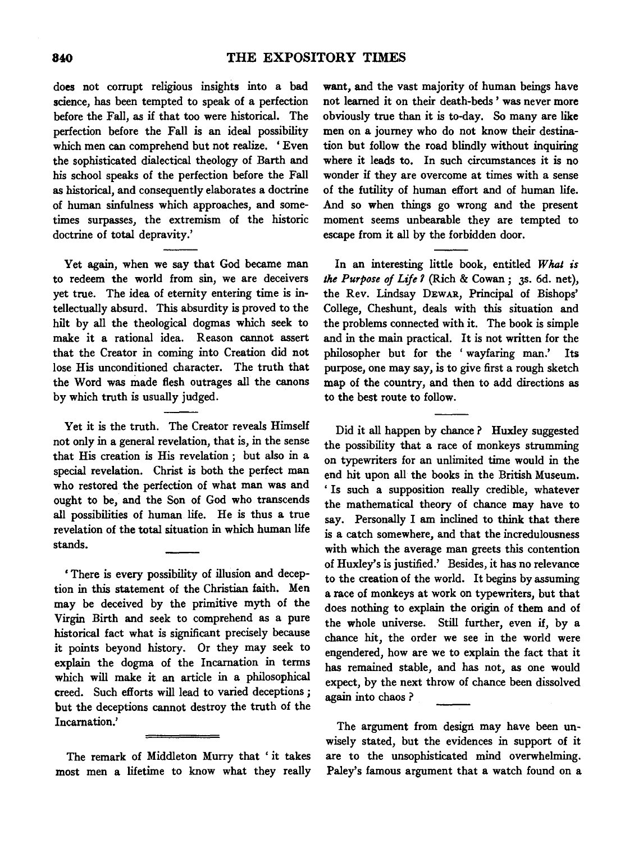does not corrupt religious insights into a bad science, has been tempted to speak of a perfection before the Fall, as if that too were historical. The perfection before the Fall is an ideal possibility which men can comprehend but not realize. ' Even the sophisticated dialectical theology of Barth and his school speaks of the perfection before the Fall as historical, and consequently elaborates a doctrine of human sinfulness which approaches, and sometimes surpasses, the extremism of the historic doctrine of total depravity.'

Yet again, when we say that God became man to redeem the world from sin, we are deceivers yet true. The idea of eternity entering time is intellectually absurd. This absurdity is proved to the hilt by all the theological dogmas which seek to make it a rational idea. Reason cannot assert that the Creator in coming into Creation did not lose His unconditioned character. The truth that the Word was made flesh outrages all the canons by which truth is usually judged.

Yet it is the truth. The Creator reveals Himself not only in a general revelation, that is, in the sense that His creation is His revelation ; but also in a special revelation. Christ is both the perfect man who restored the perfection of what man was and ought to be, and the Son of God who transcends all possibilities of human life. He is thus a true revelation of the total situation in which human life stands.

' There is every possibility of illusion and deception in this statement of the Christian faith. Men may be deceived by the primitive myth of the Virgin Birth and seek to comprehend as a pure historical fact what is significant precisely because it points beyond history. Or they may seek to explain the dogma of the Incarnation in terms which will make it an article in a philosophical creed. Such efforts will lead to varied deceptions ; but the deceptions cannot destroy the truth of the Incarnation.'

The remark of Middleton Murry that ' it takes most men a lifetime to know what they really

want, and the vast majority of human beings have not learned it on their death-beds ' was never more obviously true than it is to-day. So many are like men on a journey who do not know their destination but follow the road blindly without inquiring where it leads to. In such circumstances it is no wonder if they are overcome at times with a sense of the futility of human effort and of human life. And so when things go wrong and the present moment seems unbearable they are tempted to escape from it all by the forbidden door.

In an interesting little book, entitled *What is the Purpose of Life 1* (Rich & Cowan; 3s. 6d. net), the Rev. Lindsay DEWAR, Principal of Bishops' College, Cheshunt, deals with this situation and the problems connected with it. The book is simple and in the main practical. It is not written for the philosopher but for the 'wayfaring man.' Its purpose, one may say, is to give first a rough sketch map of the country, and then to add directions as to the best route to follow.

Did it all happen by chance ? Huxley suggested the possibility that a race of monkeys strumming on typewriters for an unlimited time would in the end hit upon all the books in the British Museum. ' Is such a supposition really credible, whatever the mathematical theory of chance may have to say. Personally I am inclined to think that there is a catch somewhere, and that the incredulousness with which the average man greets this contention of Huxley's is justified.' Besides, it has no relevance to the creation of the world. It begins by assuming a race of monkeys at work on typewriters, but that does nothing to explain the origin of them and of the whole universe. Still further, even if, by a chance hit, the order we see in the world were engendered, how are we to explain the fact that it has remained stable, and has not, as one would expect, by the next throw of chance been dissolved again into chaos?

The argument from design may have been unwisely stated, but the evidences in support of it are to the unsophisticated mind overwhelming. Paley's famous argument that a watch found on a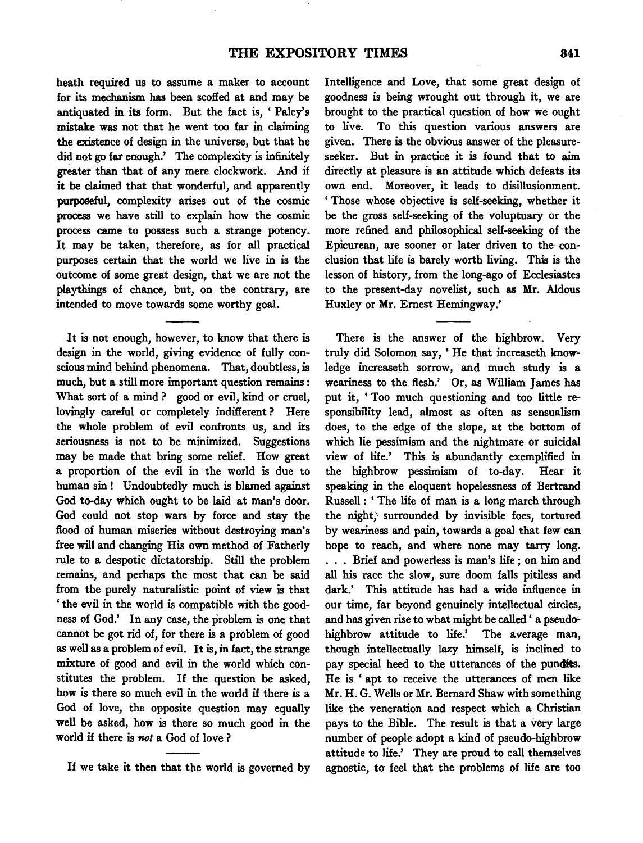heath required us to assume a maker to account for its mechanism has been scoffed at and may be antiquated in its form. But the fact is, 'Paley's mistake was not that he went too far in claiming the existence of design in the universe, but that he did not go far enough.' The complexity is infinitely greater than that of any mere clockwork. And if it be claimed that that wonderful, and apparently purposeful, complexity arises out of the cosmic process we have still to explain how the cosmic process came to possess such a strange potency. It may be taken, therefore, as for all practical purposes certain that the world we live in is the outcome of some great design, that we are not the playthings of chance, but, on the contrary, are intended to move towards some worthy goal.

It is not enough, however, to know that there is design in the world, giving evidence of fully conscious mind behind phenomena. That, doubtless, is much, but a still more important question remains : What sort of a mind? good or evil, kind or cruel, lovingly careful or completely indifferent ? Here the whole problem of evil confronts us, and its seriousness is not to be minimized. Suggestions may be made that bring some relief. How great a proportion of the evil in the world is due to human sin! Undoubtedly much is blamed against God to-day which ought to be laid at man's door. God could not stop wars by force and stay the flood of human miseries without destroying man's free will and changing His own method of Fatherly rule to a despotic dictatorship. Still the problem remains, and perhaps the most that can be said from the purely naturalistic point of view is that ' the evil in the world is compatible with the goodness of God.' In any case, the problem is one that cannot be got rid of, for there is a problem of good as well as a problem of evil. It is, in fact, the strange mixture of good and evil in the world which constitutes the problem. If the question be asked, how is there so much evil in the world if there is a God of love, the opposite question may equally well be asked, how is there so much good in the world if there is *not* a God of love ?

Intelligence and Love, that some great design of goodness is being wrought out through it, we are brought to the practical question of how we ought to live. To this question various answers are given. There is the obvious answer of the pleasureseeker. But in practice it is found that to aim directly at pleasure is an attitude which defeats its own end. Moreover, it leads to disillusionment. ' Those whose objective is self-seeking, whether it be the gross self-seeking· of the voluptuary or the more refined and philosophical self-seeking of the Epicurean, are sooner or later driven to the conclusion that life is barely worth living. This is the lesson of history, from the long-ago of Ecclesiastes to the present-day novelist, such as Mr. Aldous Huxley or Mr. Emest Hemingway.'

There is the answer of the highbrow. Very truly did Solomon say, 'He that increaseth knowledge increaseth sorrow, and much study is a weariness to the flesh.' Or, as William James has put it, ' Too much questioning and too little responsibility lead, almost as often as sensualism does, to the edge of the slope, at the bottom of which lie pessimism and the nightmare or suicidal view of life.' This is abundantly exemplified in the highbrow pessimism of to-day. Hear it speaking in the eloquent hopelessness of Bertrand Russell : ' The life of man is a long march through the night,' surrounded by invisible foes, tortured by weariness and pain, towards a goal that few can hope to reach, and where none may tarry long. ... Brief and powerless is man's life; on him and all his race the slow, sure doom falls pitiless and dark.' This attitude has had a wide influence in our time, far beyond genuinely intellectual circles, and has given rise to what might be called ' a pseudohighbrow attitude to life.' The average man, though intellectually lazy himself, is inclined to pay special heed to the utterances of the pundits. He is ' apt to receive the utterances of men like Mr. H. G. Wells or Mr. Bemard Shaw with something like the veneration and respect which a Christian pays to the Bible. The result is that a very large number of people adopt a kind of pseudo-highbrow attitude to life.' They are proud to call themselves agnostic, to feel that the problems of life are too

If we take it then that the world is governed by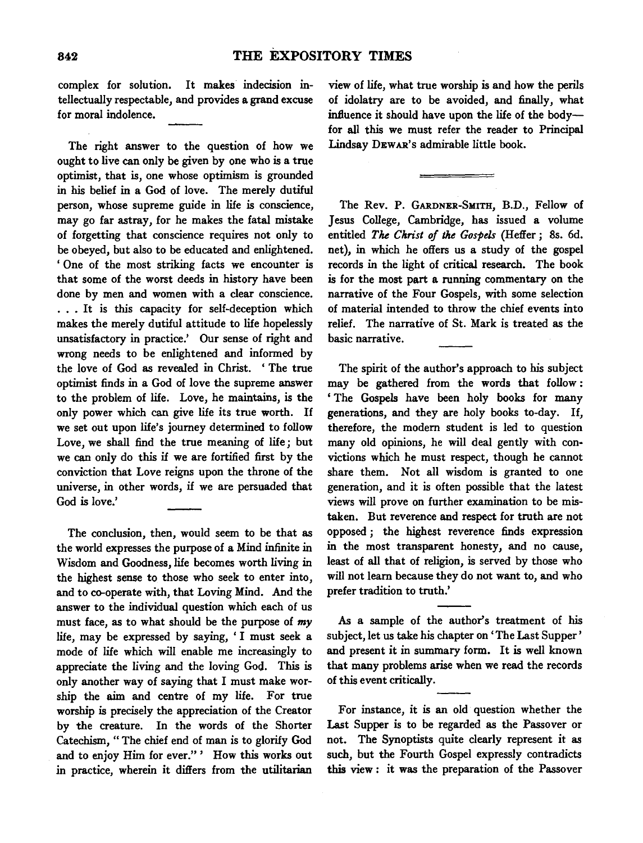complex for solution. It makes indecision intellectually respectable, and provides a grand excuse for moral indolence.

The right answer to the question of how we ought to live can only be given by one who is a true optimist, that is, one whose optimism is grounded in his belief in a God of love. The merely dutiful person, whose supreme guide in life is conscience, may go far astray, for he makes the fatal mistake of forgetting that conscience requires not only to be obeyed, but also to be educated and enlightened. ' One of the most striking facts we encounter is that some of the worst deeds in history have been one by men and women with a clear conscience.<br>
... It is this capacity for self-deception which ... It is this capacity for self-deception which makes the merely dutiful attitude to life hopelessly unsatisfactory in practice.' Our sense of right and wrong needs to be enlightened and informed by the love of God as revealed in Christ. ' The true optimist finds in a God of love the supreme answer to the problem of life. Love, he maintains, is the only power which can give life its true worth. If we set out upon life's journey determined to follow Love, we shall find the true meaning of life; but we can only do this if we are fortified first by the conviction that Love reigns upon the throne of the universe, in other words, if we are persuaded that God is love.'

The conclusion, then, would seem to be that as the world expresses the purpose of a Mind infinite in Wisdom and Goodness, life becomes worth living in the highest sense to those who seek to enter into, and to co-operate with, that Loving Mind. And the answer to the individual question which each of us must face, as to what should be the purpose of *my*  life, may be expressed by saying, 'I must seek a mode of life which will enable me increasingly to appreciate the living and the loving God. This is only another way of saying that I must make worship the aim and centre of my life. For true worship is precisely the appreciation of the Creator by the creature. In the words of the Shorter Catechism," The chief end of man is to glorify God and to enjoy Him for ever." ' How this works out in practice, wherein it differs from the utilitarian view of life, what true worship is and how the perils of idolatry are to be avoided, and finally, what influence it should have upon the life of the bodyfor all this we must refer the reader to Principal Lindsay DEWAR's admirable little book.

The Rev. P. GARDNER-SMITH, B.D., Fellow of Jesus College, Cambridge, has issued a volume entitled *The Christ of the Gospels* (Heffer ; 8s. 6d. net), in which he offers us a study of the gospel records in the light of critical research. The book is for the most part a running commentary on the narrative of the Four Gospels, with some selection of material intended to throw the chief events into relief. The narrative of St. Mark is treated as the basic narrative.

The spirit of the author's approach to his subject may be gathered from the words that follow : 'The Gospels have been holy books for many generations, and they are holy books to-day. If, therefore, the modem student is led to question many old opinions, he will deal gently with convictions which he must respect, though he cannot share them. Not all wisdom is granted to one generation, and it is often possible that the latest views will prove on further examination to be mistaken. But reverence and respect for truth are not opposed *;* the highest reverence finds expression in the most transparent honesty, and no cause, least of all that of religion, is served by those who will not learn because they do not want to, and who prefer tradition to truth.'

As a sample of the author's treatment of his subject, let us take his chapter on 'The Last Supper' and present it in summary form. It is well known that many problems arise when we read the records of this event critically.

For instance, it is an old question whether the Last Supper is to be regarded as the Passover or not. The Synoptists quite clearly represent it as such, but the Fourth Gospel expressly contradicts this view : it was the preparation of the Passover